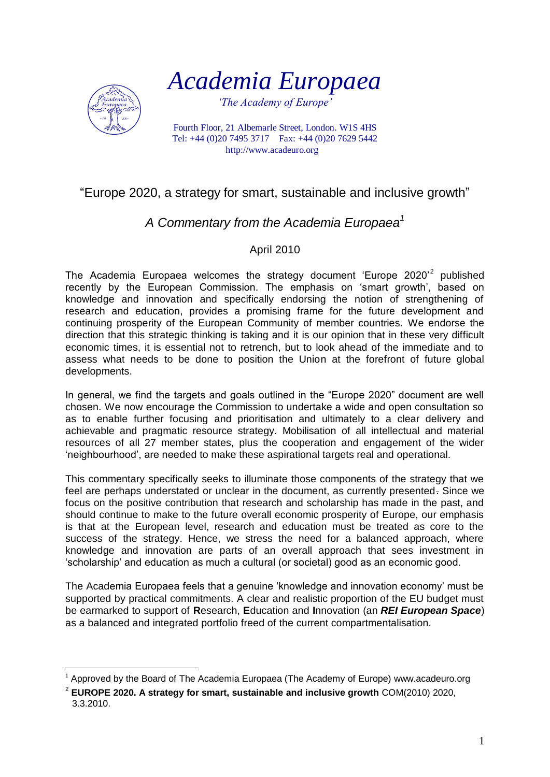

*Academia Europaea*

*'The Academy of Europe'*

Fourth Floor, 21 Albemarle Street, London. W1S 4HS Tel: +44 (0)20 7495 3717 Fax: +44 (0)20 7629 5442 http://www.acadeuro.org

## "Europe 2020, a strategy for smart, sustainable and inclusive growth"

## *A Commentary from the Academia Europaea<sup>1</sup>*

## April 2010

The Academia Europaea welcomes the strategy document 'Europe 2020'<sup>2</sup> published recently by the European Commission. The emphasis on "smart growth", based on knowledge and innovation and specifically endorsing the notion of strengthening of research and education, provides a promising frame for the future development and continuing prosperity of the European Community of member countries. We endorse the direction that this strategic thinking is taking and it is our opinion that in these very difficult economic times, it is essential not to retrench, but to look ahead of the immediate and to assess what needs to be done to position the Union at the forefront of future global developments.

In general, we find the targets and goals outlined in the "Europe 2020" document are well chosen. We now encourage the Commission to undertake a wide and open consultation so as to enable further focusing and prioritisation and ultimately to a clear delivery and achievable and pragmatic resource strategy. Mobilisation of all intellectual and material resources of all 27 member states, plus the cooperation and engagement of the wider "neighbourhood", are needed to make these aspirational targets real and operational.

This commentary specifically seeks to illuminate those components of the strategy that we feel are perhaps understated or unclear in the document, as currently presented. Since we focus on the positive contribution that research and scholarship has made in the past, and should continue to make to the future overall economic prosperity of Europe, our emphasis is that at the European level, research and education must be treated as core to the success of the strategy. Hence, we stress the need for a balanced approach, where knowledge and innovation are parts of an overall approach that sees investment in "scholarship" and education as much a cultural (or societal) good as an economic good.

The Academia Europaea feels that a genuine "knowledge and innovation economy" must be supported by practical commitments. A clear and realistic proportion of the EU budget must be earmarked to support of **R**esearch, **E**ducation and **I**nnovation (an *REI European Space*) as a balanced and integrated portfolio freed of the current compartmentalisation.

<sup>1</sup>  $1$  Approved by the Board of The Academia Europaea (The Academy of Europe) www.acadeuro.org

<sup>2</sup> **EUROPE 2020. A strategy for smart, sustainable and inclusive growth** COM(2010) 2020, 3.3.2010.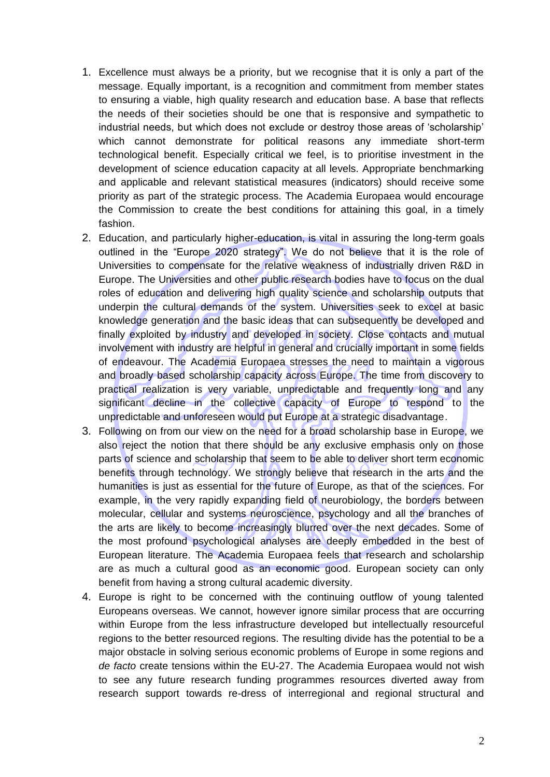- 1. Excellence must always be a priority, but we recognise that it is only a part of the message. Equally important, is a recognition and commitment from member states to ensuring a viable, high quality research and education base. A base that reflects the needs of their societies should be one that is responsive and sympathetic to industrial needs, but which does not exclude or destroy those areas of "scholarship" which cannot demonstrate for political reasons any immediate short-term technological benefit. Especially critical we feel, is to prioritise investment in the development of science education capacity at all levels. Appropriate benchmarking and applicable and relevant statistical measures (indicators) should receive some priority as part of the strategic process. The Academia Europaea would encourage the Commission to create the best conditions for attaining this goal, in a timely fashion.
- 2. Education, and particularly higher-education, is vital in assuring the long-term goals outlined in the "Europe 2020 strategy". We do not believe that it is the role of Universities to compensate for the relative weakness of industrially driven R&D in Europe. The Universities and other public research bodies have to focus on the dual roles of education and delivering high quality science and scholarship outputs that underpin the cultural demands of the system. Universities seek to excel at basic knowledge generation and the basic ideas that can subsequently be developed and finally exploited by industry and developed in society. Close contacts and mutual involvement with industry are helpful in general and crucially important in some fields of endeavour. The Academia Europaea stresses the need to maintain a vigorous and broadly based scholarship capacity across Europe. The time from discovery to practical realization is very variable, unpredictable and frequently long and any significant decline in the collective capacity of Europe to respond to the unpredictable and unforeseen would put Europe at a strategic disadvantage.
- 3. Following on from our view on the need for a broad scholarship base in Europe, we also reject the notion that there should be any exclusive emphasis only on those parts of science and scholarship that seem to be able to deliver short term economic benefits through technology. We strongly believe that research in the arts and the humanities is just as essential for the future of Europe, as that of the sciences. For example, in the very rapidly expanding field of neurobiology, the borders between molecular, cellular and systems neuroscience, psychology and all the branches of the arts are likely to become increasingly blurred over the next decades. Some of the most profound psychological analyses are deeply embedded in the best of European literature. The Academia Europaea feels that research and scholarship are as much a cultural good as an economic good. European society can only benefit from having a strong cultural academic diversity.
- 4. Europe is right to be concerned with the continuing outflow of young talented Europeans overseas. We cannot, however ignore similar process that are occurring within Europe from the less infrastructure developed but intellectually resourceful regions to the better resourced regions. The resulting divide has the potential to be a major obstacle in solving serious economic problems of Europe in some regions and *de facto* create tensions within the EU-27. The Academia Europaea would not wish to see any future research funding programmes resources diverted away from research support towards re-dress of interregional and regional structural and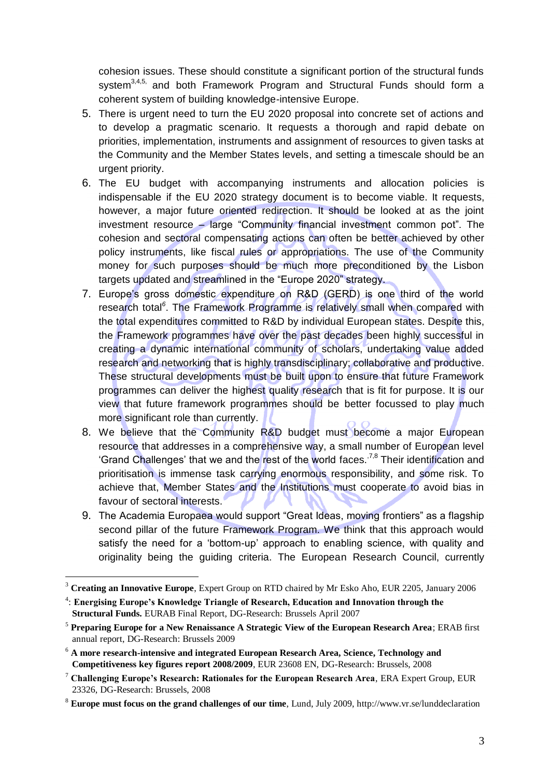cohesion issues. These should constitute a significant portion of the structural funds system<sup>3,4,5,</sup> and both Framework Program and Structural Funds should form a coherent system of building knowledge-intensive Europe.

- 5. There is urgent need to turn the EU 2020 proposal into concrete set of actions and to develop a pragmatic scenario. It requests a thorough and rapid debate on priorities, implementation, instruments and assignment of resources to given tasks at the Community and the Member States levels, and setting a timescale should be an urgent priority.
- 6. The EU budget with accompanying instruments and allocation policies is indispensable if the EU 2020 strategy document is to become viable. It requests, however, a major future oriented redirection. It should be looked at as the joint investment resource – large "Community financial investment common pot". The cohesion and sectoral compensating actions can often be better achieved by other policy instruments, like fiscal rules or appropriations. The use of the Community money for such purposes should be much more preconditioned by the Lisbon targets updated and streamlined in the "Europe 2020" strategy.
- 7. Europe"s gross domestic expenditure on R&D (GERD) is one third of the world research total<sup>6</sup>. The Framework Programme is relatively small when compared with the total expenditures committed to R&D by individual European states. Despite this, the Framework programmes have over the past decades been highly successful in creating a dynamic international community of scholars, undertaking value added research and networking that is highly transdisciplinary; collaborative and productive. These structural developments must be built upon to ensure that future Framework programmes can deliver the highest quality research that is fit for purpose. It is our view that future framework programmes should be better focussed to play much more significant role than currently.
- 8. We believe that the Community R&D budget must become a major European resource that addresses in a comprehensive way, a small number of European level 'Grand Challenges' that we and the rest of the world faces.<sup>7,8</sup> Their identification and prioritisation is immense task carrying enormous responsibility, and some risk. To achieve that, Member States and the Institutions must cooperate to avoid bias in favour of sectoral interests.
- 9. The Academia Europaea would support "Great Ideas, moving frontiers" as a flagship second pillar of the future Framework Program. We think that this approach would satisfy the need for a "bottom-up" approach to enabling science, with quality and originality being the guiding criteria. The European Research Council, currently

<u>.</u>

<sup>3</sup> **Creating an Innovative Europe**, Expert Group on RTD chaired by Mr Esko Aho, EUR 2205, January 2006

<sup>4</sup> : **Energising Europe's Knowledge Triangle of Research, Education and Innovation through the Structural Funds.** EURAB Final Report, DG-Research: Brussels April 2007

<sup>5</sup> **Preparing Europe for a New Renaissance A Strategic View of the European Research Area**; ERAB first annual report, DG-Research: Brussels 2009

<sup>6</sup> **A more research-intensive and integrated European Research Area, Science, Technology and Competitiveness key figures report 2008/2009**, EUR 23608 EN, DG-Research: Brussels, 2008

<sup>7</sup> **Challenging Europe's Research: Rationales for the European Research Area**, ERA Expert Group, EUR 23326, DG-Research: Brussels, 2008

<sup>8</sup> **Europe must focus on the grand challenges of our time**, Lund, July 2009, http://www.vr.se/lunddeclaration